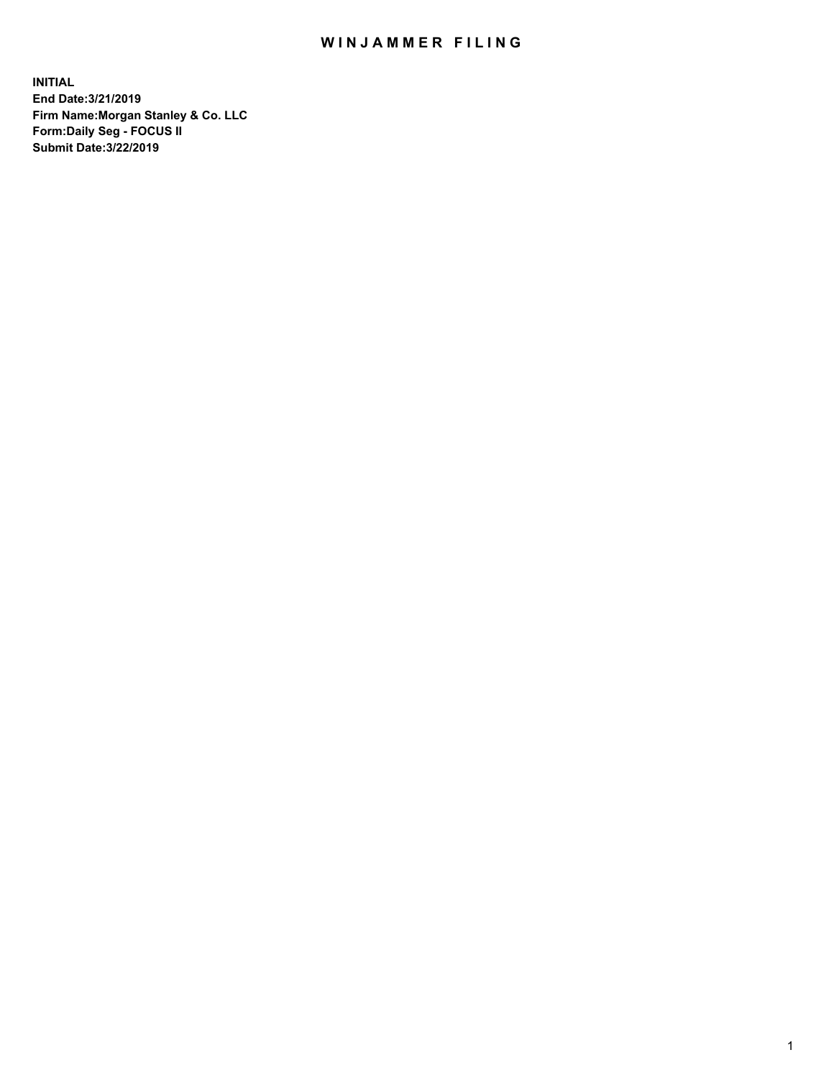## WIN JAMMER FILING

**INITIAL End Date:3/21/2019 Firm Name:Morgan Stanley & Co. LLC Form:Daily Seg - FOCUS II Submit Date:3/22/2019**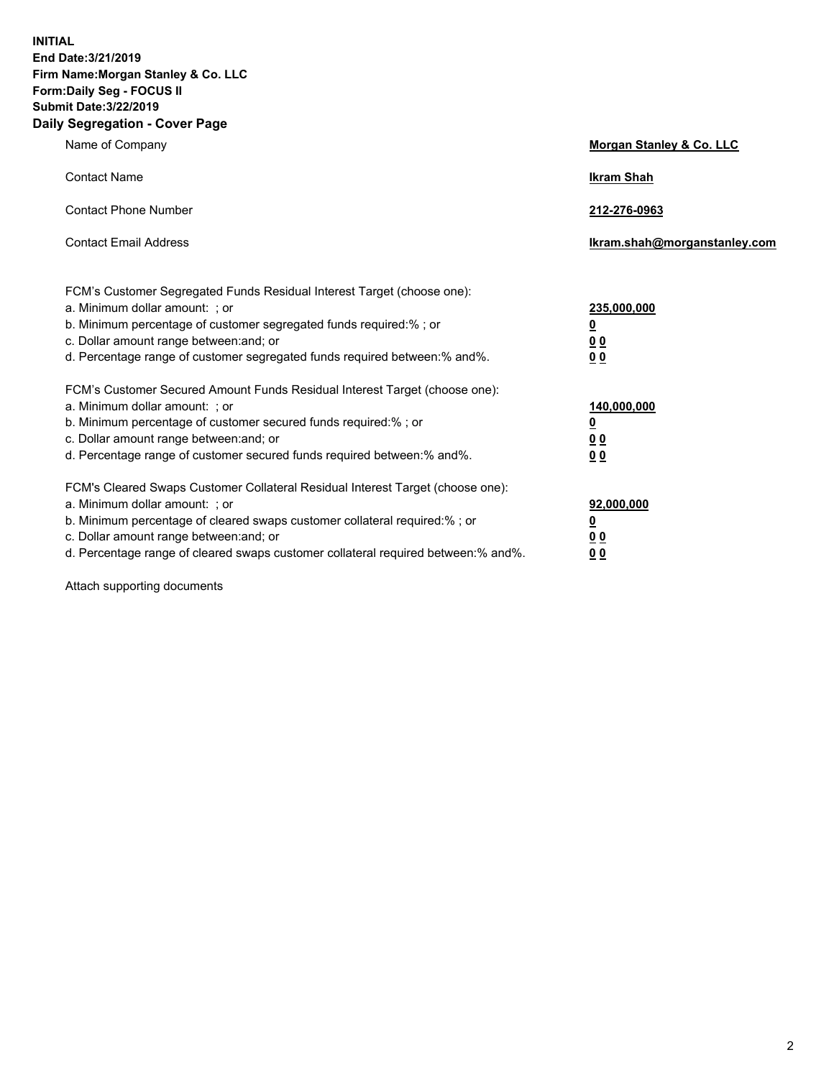**INITIAL End Date:3/21/2019 Firm Name:Morgan Stanley & Co. LLC Form:Daily Seg - FOCUS II Submit Date:3/22/2019 Daily Segregation - Cover Page**

| Name of Company                                                                                                                                                                                                                                                                                                                | Morgan Stanley & Co. LLC                                    |
|--------------------------------------------------------------------------------------------------------------------------------------------------------------------------------------------------------------------------------------------------------------------------------------------------------------------------------|-------------------------------------------------------------|
| <b>Contact Name</b>                                                                                                                                                                                                                                                                                                            | <b>Ikram Shah</b>                                           |
| <b>Contact Phone Number</b>                                                                                                                                                                                                                                                                                                    | 212-276-0963                                                |
| <b>Contact Email Address</b>                                                                                                                                                                                                                                                                                                   | Ikram.shah@morganstanley.com                                |
| FCM's Customer Segregated Funds Residual Interest Target (choose one):<br>a. Minimum dollar amount: ; or<br>b. Minimum percentage of customer segregated funds required:% ; or<br>c. Dollar amount range between: and; or<br>d. Percentage range of customer segregated funds required between:% and%.                         | 235,000,000<br><u>0</u><br>0 <sub>0</sub><br>0 <sub>0</sub> |
| FCM's Customer Secured Amount Funds Residual Interest Target (choose one):<br>a. Minimum dollar amount: ; or<br>b. Minimum percentage of customer secured funds required:%; or<br>c. Dollar amount range between: and; or<br>d. Percentage range of customer secured funds required between:% and%.                            | 140,000,000<br><u>0</u><br>0 <sub>0</sub><br>0 <sub>0</sub> |
| FCM's Cleared Swaps Customer Collateral Residual Interest Target (choose one):<br>a. Minimum dollar amount: ; or<br>b. Minimum percentage of cleared swaps customer collateral required:% ; or<br>c. Dollar amount range between: and; or<br>d. Percentage range of cleared swaps customer collateral required between:% and%. | 92,000,000<br><u>0</u><br><u>00</u><br>0 <sub>0</sub>       |

Attach supporting documents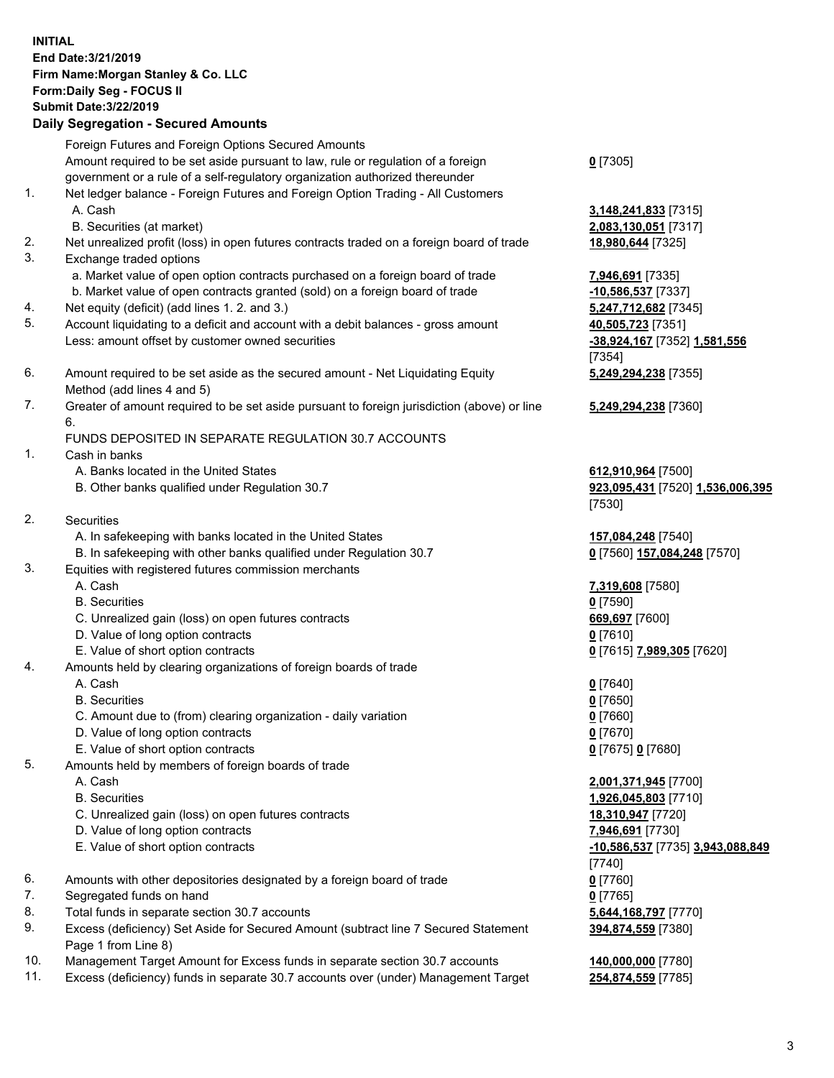## **INITIAL End Date:3/21/2019 Firm Name:Morgan Stanley & Co. LLC Form:Daily Seg - FOCUS II Submit Date:3/22/2019 Daily Segregation - Secured Amounts**

Foreign Futures and Foreign Options Secured Amounts

Amount required to be set aside pursuant to law, rule or regulation of a foreign government or a rule of a self-regulatory organization authorized thereunder

- 1. Net ledger balance Foreign Futures and Foreign Option Trading All Customers A. Cash **3,148,241,833** [7315]
	- B. Securities (at market) **2,083,130,051** [7317]
- 2. Net unrealized profit (loss) in open futures contracts traded on a foreign board of trade **18,980,644** [7325]
- 3. Exchange traded options
	- a. Market value of open option contracts purchased on a foreign board of trade **7,946,691** [7335]
	- b. Market value of open contracts granted (sold) on a foreign board of trade **-10,586,537** [7337]
- 4. Net equity (deficit) (add lines 1. 2. and 3.) **5,247,712,682** [7345]
- 5. Account liquidating to a deficit and account with a debit balances gross amount **40,505,723** [7351] Less: amount offset by customer owned securities **-38,924,167** [7352] **1,581,556**
- 6. Amount required to be set aside as the secured amount Net Liquidating Equity Method (add lines 4 and 5)
- 7. Greater of amount required to be set aside pursuant to foreign jurisdiction (above) or line 6.

## FUNDS DEPOSITED IN SEPARATE REGULATION 30.7 ACCOUNTS

- 1. Cash in banks
	- A. Banks located in the United States **612,910,964** [7500]
	- B. Other banks qualified under Regulation 30.7 **923,095,431** [7520] **1,536,006,395**
- 2. Securities
	- A. In safekeeping with banks located in the United States **157,084,248** [7540]
	- B. In safekeeping with other banks qualified under Regulation 30.7 **0** [7560] **157,084,248** [7570]
- 3. Equities with registered futures commission merchants
	-
	- B. Securities **0** [7590]
	- C. Unrealized gain (loss) on open futures contracts **669,697** [7600]
	- D. Value of long option contracts **0** [7610]
- E. Value of short option contracts **0** [7615] **7,989,305** [7620]
- 4. Amounts held by clearing organizations of foreign boards of trade
	- A. Cash **0** [7640]
	- B. Securities **0** [7650]
	- C. Amount due to (from) clearing organization daily variation **0** [7660]
	- D. Value of long option contracts **0** [7670]
	- E. Value of short option contracts **0** [7675] **0** [7680]
- 5. Amounts held by members of foreign boards of trade
	-
	-
	- C. Unrealized gain (loss) on open futures contracts **18,310,947** [7720]
	- D. Value of long option contracts **7,946,691** [7730]
	- E. Value of short option contracts **-10,586,537** [7735] **3,943,088,849**
- 6. Amounts with other depositories designated by a foreign board of trade **0** [7760]
- 7. Segregated funds on hand **0** [7765]
- 8. Total funds in separate section 30.7 accounts **5,644,168,797** [7770]
- 9. Excess (deficiency) Set Aside for Secured Amount (subtract line 7 Secured Statement Page 1 from Line 8)
- 10. Management Target Amount for Excess funds in separate section 30.7 accounts **140,000,000** [7780]
- 11. Excess (deficiency) funds in separate 30.7 accounts over (under) Management Target **254,874,559** [7785]

**0** [7305]

[7354] **5,249,294,238** [7355]

**5,249,294,238** [7360]

[7530]

A. Cash **7,319,608** [7580]

 A. Cash **2,001,371,945** [7700] B. Securities **1,926,045,803** [7710] [7740] **394,874,559** [7380]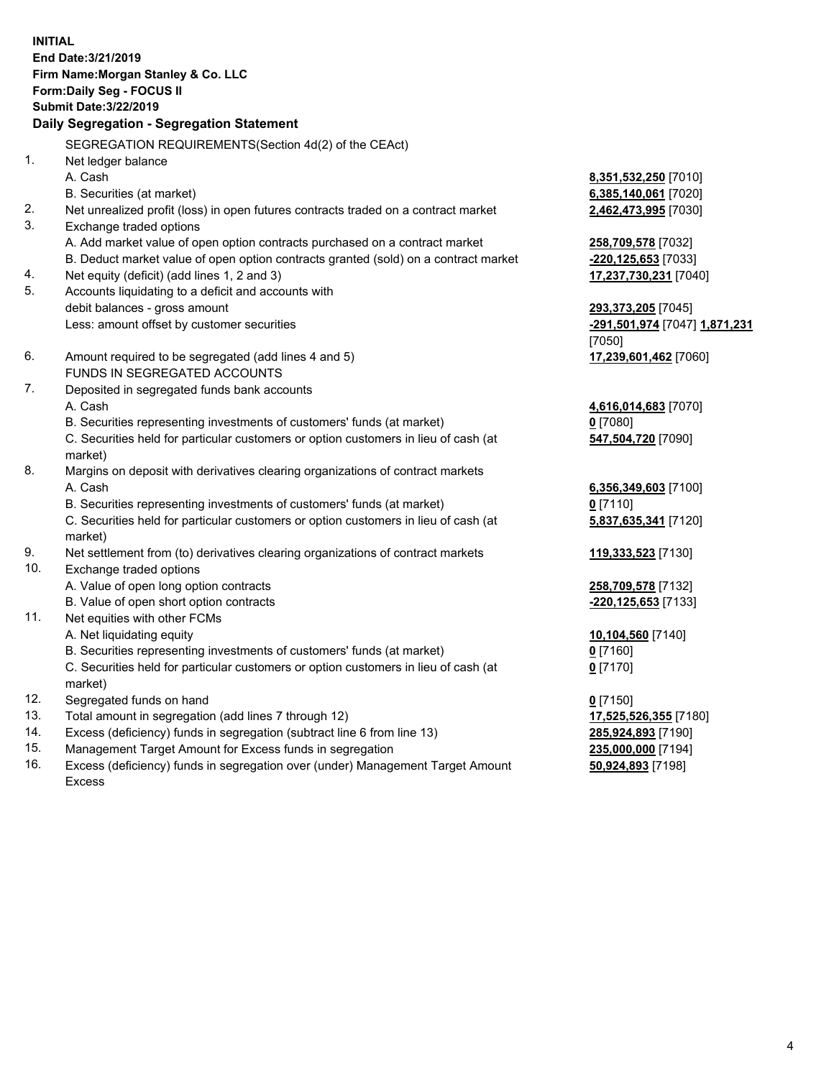**INITIAL End Date:3/21/2019 Firm Name:Morgan Stanley & Co. LLC Form:Daily Seg - FOCUS II Submit Date:3/22/2019 Daily Segregation - Segregation Statement** SEGREGATION REQUIREMENTS(Section 4d(2) of the CEAct) 1. Net ledger balance A. Cash **8,351,532,250** [7010] B. Securities (at market) **6,385,140,061** [7020] 2. Net unrealized profit (loss) in open futures contracts traded on a contract market **2,462,473,995** [7030] 3. Exchange traded options A. Add market value of open option contracts purchased on a contract market **258,709,578** [7032] B. Deduct market value of open option contracts granted (sold) on a contract market **-220,125,653** [7033] 4. Net equity (deficit) (add lines 1, 2 and 3) **17,237,730,231** [7040] 5. Accounts liquidating to a deficit and accounts with debit balances - gross amount **293,373,205** [7045] Less: amount offset by customer securities **-291,501,974** [7047] **1,871,231** [7050] 6. Amount required to be segregated (add lines 4 and 5) **17,239,601,462** [7060] FUNDS IN SEGREGATED ACCOUNTS 7. Deposited in segregated funds bank accounts A. Cash **4,616,014,683** [7070] B. Securities representing investments of customers' funds (at market) **0** [7080] C. Securities held for particular customers or option customers in lieu of cash (at market) **547,504,720** [7090] 8. Margins on deposit with derivatives clearing organizations of contract markets A. Cash **6,356,349,603** [7100] B. Securities representing investments of customers' funds (at market) **0** [7110] C. Securities held for particular customers or option customers in lieu of cash (at market) **5,837,635,341** [7120] 9. Net settlement from (to) derivatives clearing organizations of contract markets **119,333,523** [7130] 10. Exchange traded options A. Value of open long option contracts **258,709,578** [7132] B. Value of open short option contracts **-220,125,653** [7133] 11. Net equities with other FCMs A. Net liquidating equity **10,104,560** [7140] B. Securities representing investments of customers' funds (at market) **0** [7160] C. Securities held for particular customers or option customers in lieu of cash (at market) **0** [7170] 12. Segregated funds on hand **0** [7150] 13. Total amount in segregation (add lines 7 through 12) **17,525,526,355** [7180] 14. Excess (deficiency) funds in segregation (subtract line 6 from line 13) **285,924,893** [7190]

- 15. Management Target Amount for Excess funds in segregation **235,000,000** [7194]
- 16. Excess (deficiency) funds in segregation over (under) Management Target Amount Excess

**50,924,893** [7198]